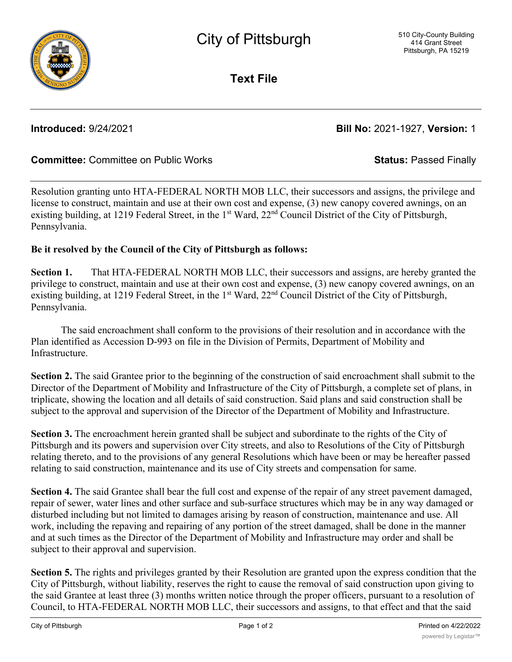**Text File**

# **Introduced:** 9/24/2021 **Bill No:** 2021-1927, **Version:** 1

## **Committee:** Committee on Public Works **Status:** Passed Finally

Resolution granting unto HTA-FEDERAL NORTH MOB LLC, their successors and assigns, the privilege and license to construct, maintain and use at their own cost and expense, (3) new canopy covered awnings, on an existing building, at 1219 Federal Street, in the 1<sup>st</sup> Ward, 22<sup>nd</sup> Council District of the City of Pittsburgh, Pennsylvania.

### **Be it resolved by the Council of the City of Pittsburgh as follows:**

**Section 1.** That HTA-FEDERAL NORTH MOB LLC, their successors and assigns, are hereby granted the privilege to construct, maintain and use at their own cost and expense, (3) new canopy covered awnings, on an existing building, at 1219 Federal Street, in the 1<sup>st</sup> Ward, 22<sup>nd</sup> Council District of the City of Pittsburgh, Pennsylvania.

The said encroachment shall conform to the provisions of their resolution and in accordance with the Plan identified as Accession D-993 on file in the Division of Permits, Department of Mobility and Infrastructure.

**Section 2.** The said Grantee prior to the beginning of the construction of said encroachment shall submit to the Director of the Department of Mobility and Infrastructure of the City of Pittsburgh, a complete set of plans, in triplicate, showing the location and all details of said construction. Said plans and said construction shall be subject to the approval and supervision of the Director of the Department of Mobility and Infrastructure.

**Section 3.** The encroachment herein granted shall be subject and subordinate to the rights of the City of Pittsburgh and its powers and supervision over City streets, and also to Resolutions of the City of Pittsburgh relating thereto, and to the provisions of any general Resolutions which have been or may be hereafter passed relating to said construction, maintenance and its use of City streets and compensation for same.

**Section 4.** The said Grantee shall bear the full cost and expense of the repair of any street pavement damaged, repair of sewer, water lines and other surface and sub-surface structures which may be in any way damaged or disturbed including but not limited to damages arising by reason of construction, maintenance and use. All work, including the repaving and repairing of any portion of the street damaged, shall be done in the manner and at such times as the Director of the Department of Mobility and Infrastructure may order and shall be subject to their approval and supervision.

**Section 5.** The rights and privileges granted by their Resolution are granted upon the express condition that the City of Pittsburgh, without liability, reserves the right to cause the removal of said construction upon giving to the said Grantee at least three (3) months written notice through the proper officers, pursuant to a resolution of Council, to HTA-FEDERAL NORTH MOB LLC, their successors and assigns, to that effect and that the said